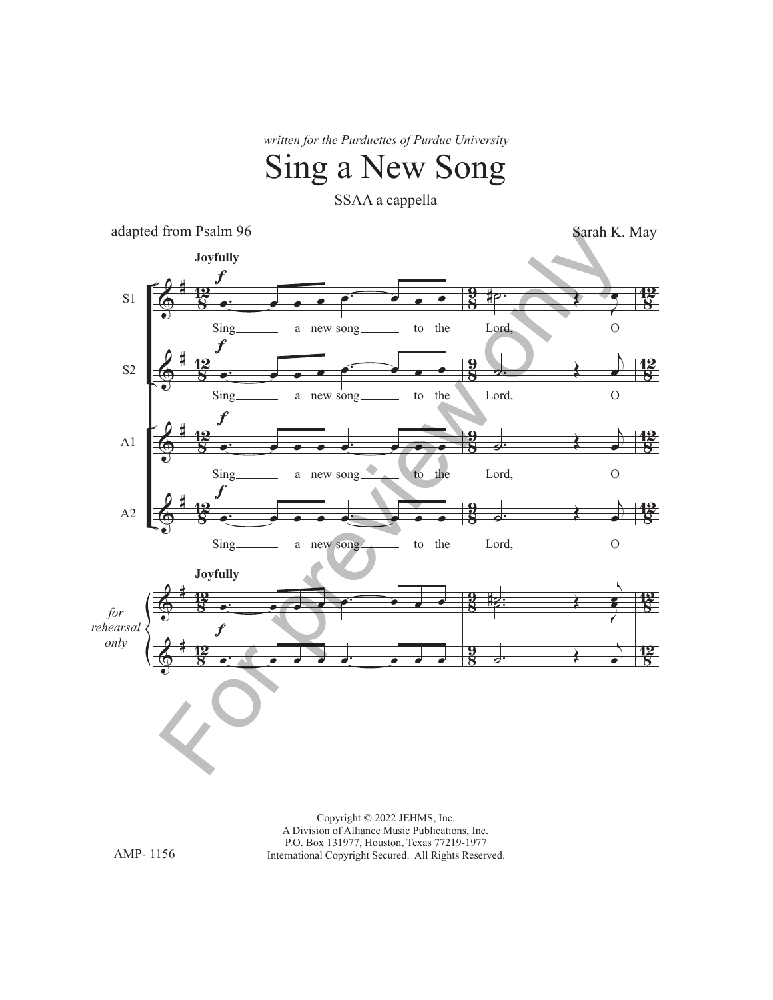*written for the Purduettes of Purdue University*

## Sing a New Song

SSAA a cappella

adapted from Psalm 96

Sarah K. May



Copyright © 2022 JEHMS, Inc. A Division of Alliance Music Publications, Inc. P.O. Box 131977, Houston, Texas 77219-1977 International Copyright Secured. All Rights Reserved.

AMP- 1156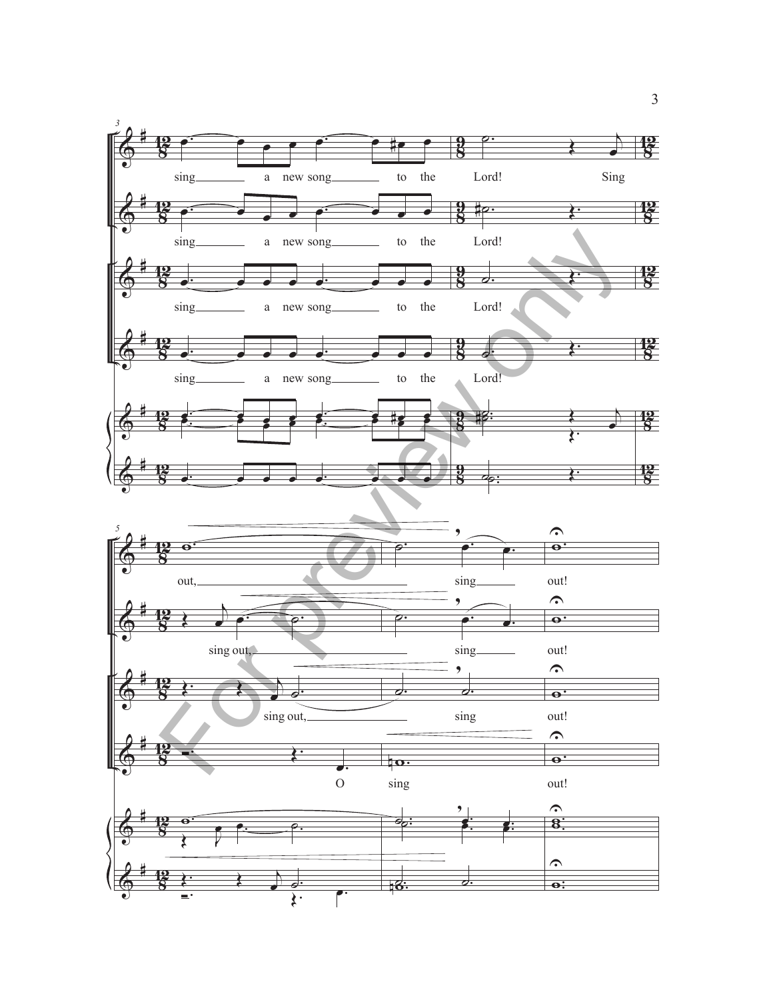

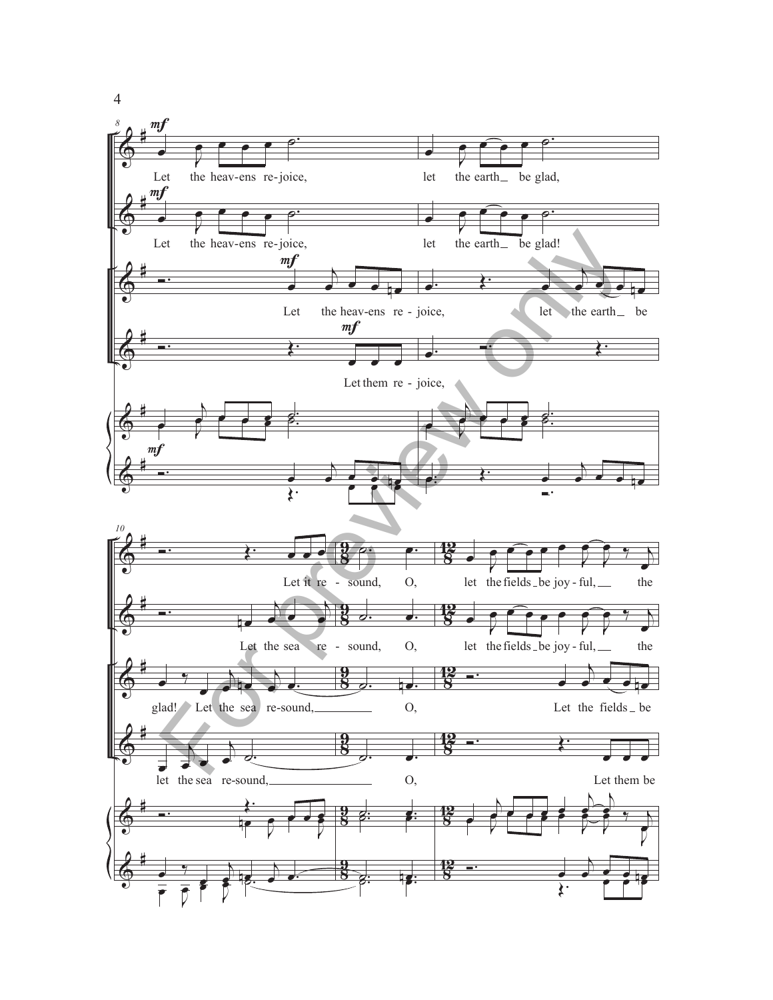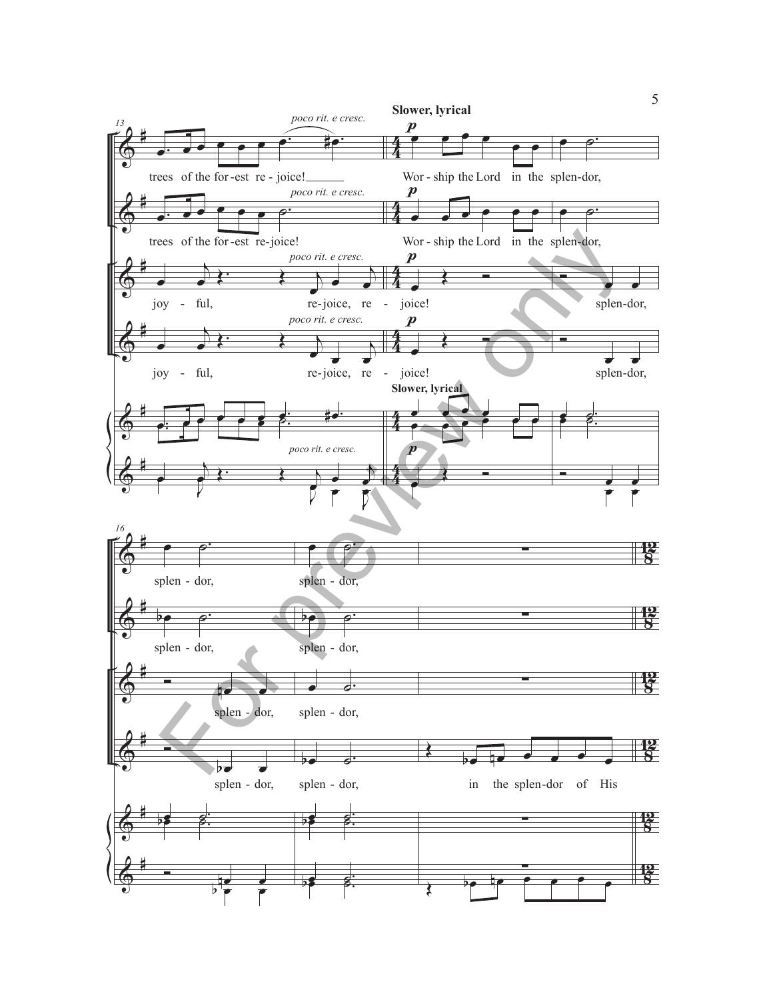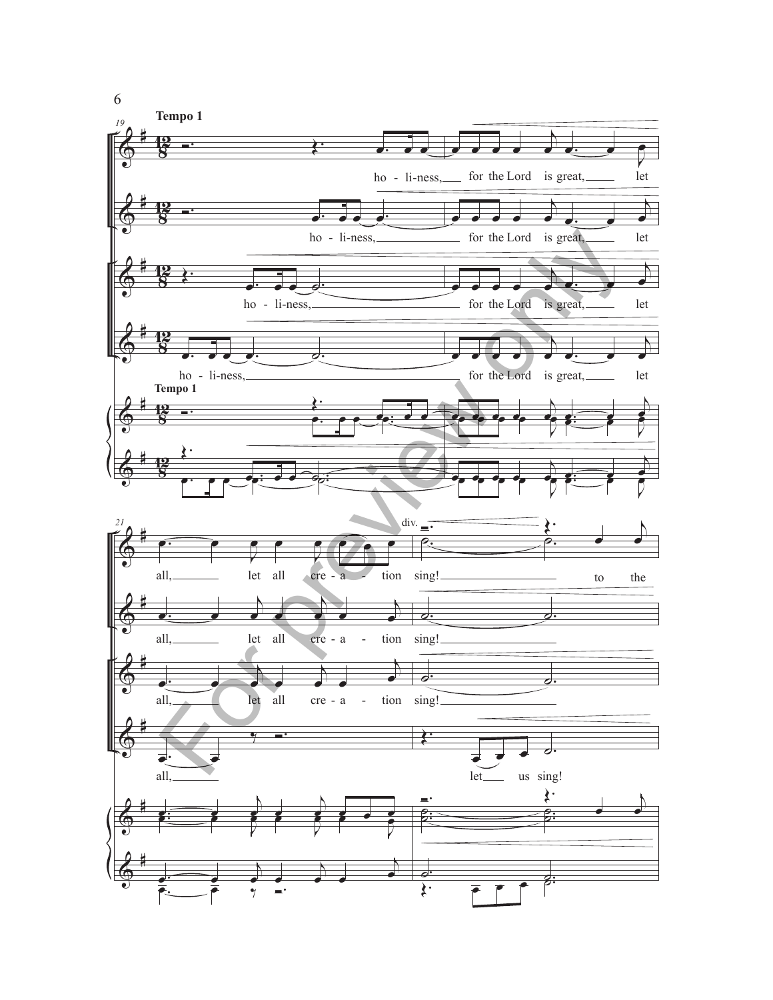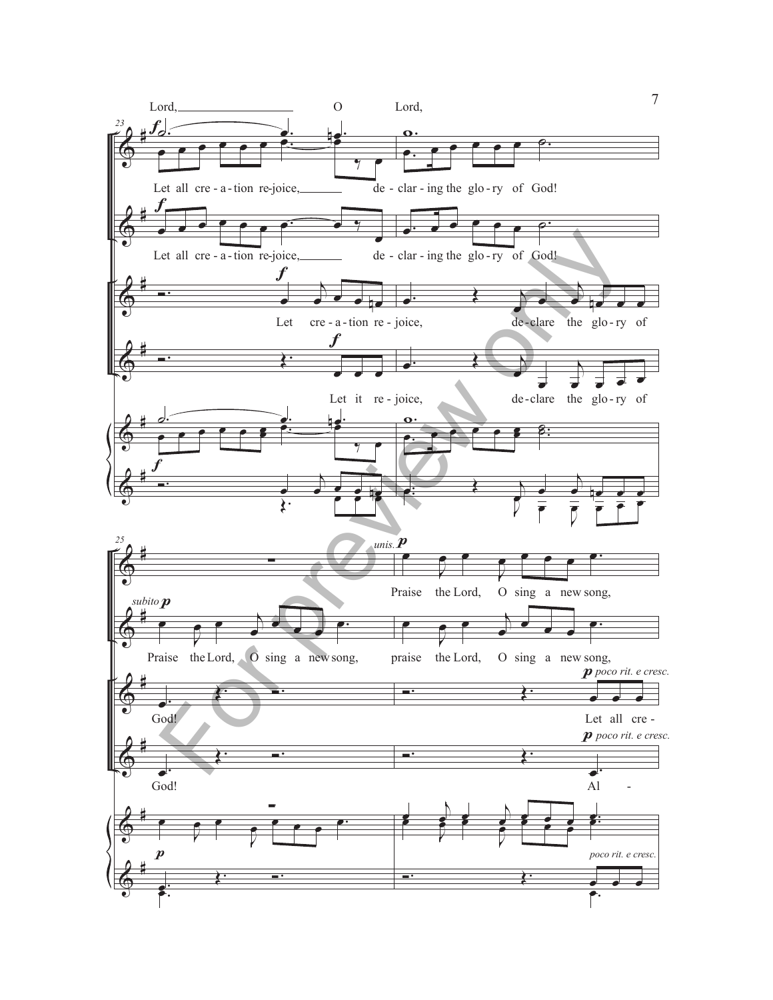